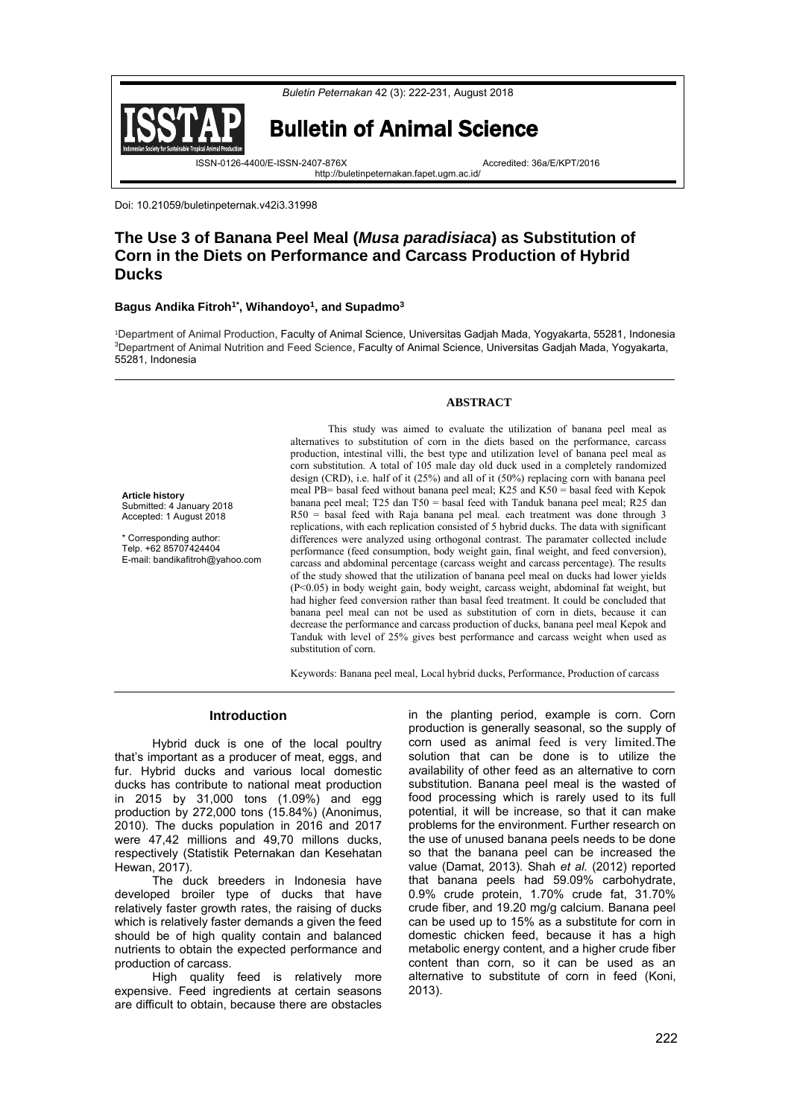

Doi: 10.21059/buletinpeternak.v42i3.31998

**Article history**

Submitted: 4 January 2018 Accepted: 1 August 2018 \* Corresponding author: Telp. +62 85707424404 E-mail[: bandikafitroh@yahoo.com](mailto:bandikafitroh@yahoo.com)

# **The Use 3 of Banana Peel Meal (***Musa paradisiaca***) as Substitution of Corn in the Diets on Performance and Carcass Production of Hybrid Ducks**

# **Bagus Andika Fitroh1\* , Wihandoyo<sup>1</sup> , and Supadmo<sup>3</sup>**

<sup>1</sup>Department of Animal Production, Faculty of Animal Science, Universitas Gadjah Mada, Yogyakarta, 55281, Indonesia <sup>3</sup>Department of Animal Nutrition and Feed Science, Faculty of Animal Science, Universitas Gadjah Mada, Yogyakarta, 55281, Indonesia

## **ABSTRACT**

This study was aimed to evaluate the utilization of banana peel meal as alternatives to substitution of corn in the diets based on the performance, carcass production, intestinal villi, the best type and utilization level of banana peel meal as corn substitution. A total of 105 male day old duck used in a completely randomized design (CRD), i.e. half of it (25%) and all of it (50%) replacing corn with banana peel meal PB= basal feed without banana peel meal; K25 and K50 = basal feed with Kepok banana peel meal; T25 dan T50 = basal feed with Tanduk banana peel meal; R25 dan R50 = basal feed with Raja banana pel meal. each treatment was done through 3 replications, with each replication consisted of 5 hybrid ducks. The data with significant differences were analyzed using orthogonal contrast. The paramater collected include performance (feed consumption, body weight gain, final weight, and feed conversion), carcass and abdominal percentage (carcass weight and carcass percentage). The results of the study showed that the utilization of banana peel meal on ducks had lower yields (P<0.05) in body weight gain, body weight, carcass weight, abdominal fat weight, but had higher feed conversion rather than basal feed treatment. It could be concluded that banana peel meal can not be used as substitution of corn in diets, because it can decrease the performance and carcass production of ducks, banana peel meal Kepok and Tanduk with level of 25% gives best performance and carcass weight when used as substitution of corn.

Keywords: Banana peel meal, Local hybrid ducks, Performance, Production of carcass

#### **Introduction**

Hybrid duck is one of the local poultry that's important as a producer of meat, eggs, and fur. Hybrid ducks and various local domestic ducks has contribute to national meat production in 2015 by 31,000 tons (1.09%) and egg production by 272,000 tons (15.84%) (Anonimus, 2010). The ducks population in 2016 and 2017 were 47,42 millions and 49,70 millons ducks, respectively (Statistik Peternakan dan Kesehatan Hewan, 2017).

The duck breeders in Indonesia have developed broiler type of ducks that have relatively faster growth rates, the raising of ducks which is relatively faster demands a given the feed should be of high quality contain and balanced nutrients to obtain the expected performance and production of carcass.

High quality feed is relatively more expensive. Feed ingredients at certain seasons are difficult to obtain, because there are obstacles

in the planting period, example is corn. Corn production is generally seasonal, so the supply of corn used as animal feed is very limited.The solution that can be done is to utilize the availability of other feed as an alternative to corn substitution. Banana peel meal is the wasted of food processing which is rarely used to its full potential, it will be increase, so that it can make problems for the environment. Further research on the use of unused banana peels needs to be done so that the banana peel can be increased the value (Damat, 2013). Shah *et al.* (2012) reported that banana peels had 59.09% carbohydrate, 0.9% crude protein, 1.70% crude fat, 31.70% crude fiber, and 19.20 mg/g calcium. Banana peel can be used up to 15% as a substitute for corn in domestic chicken feed, because it has a high metabolic energy content, and a higher crude fiber content than corn, so it can be used as an alternative to substitute of corn in feed (Koni, 2013).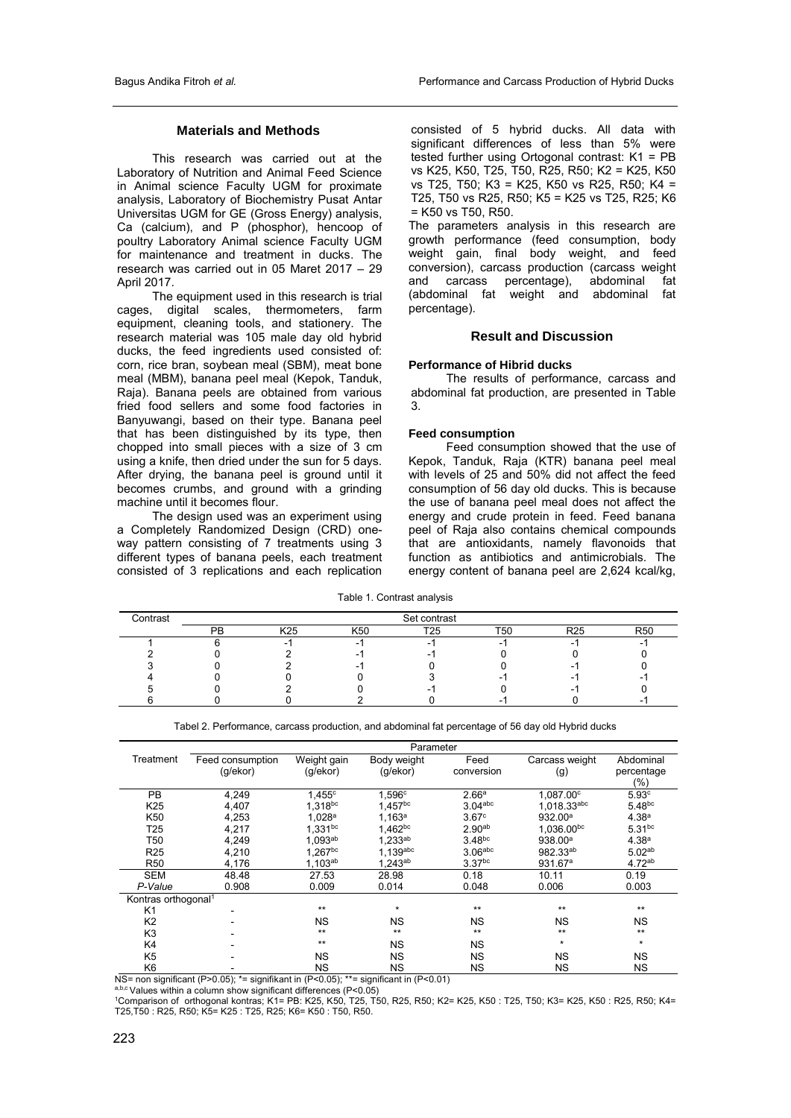# **Materials and Methods**

This research was carried out at the Laboratory of Nutrition and Animal Feed Science in Animal science Faculty UGM for proximate analysis, Laboratory of Biochemistry Pusat Antar Universitas UGM for GE (Gross Energy) analysis, Ca (calcium), and P (phosphor), hencoop of poultry Laboratory Animal science Faculty UGM for maintenance and treatment in ducks. The research was carried out in 05 Maret 2017 – 29 April 2017.

The equipment used in this research is trial cages, digital scales, thermometers, farm equipment, cleaning tools, and stationery. The research material was 105 male day old hybrid ducks, the feed ingredients used consisted of: corn, rice bran, soybean meal (SBM), meat bone meal (MBM), banana peel meal (Kepok, Tanduk, Raja). Banana peels are obtained from various fried food sellers and some food factories in Banyuwangi, based on their type. Banana peel that has been distinguished by its type, then chopped into small pieces with a size of 3 cm using a knife, then dried under the sun for 5 days. After drying, the banana peel is ground until it becomes crumbs, and ground with a grinding machine until it becomes flour.

The design used was an experiment using a Completely Randomized Design (CRD) oneway pattern consisting of 7 treatments using 3 different types of banana peels, each treatment consisted of 3 replications and each replication

consisted of 5 hybrid ducks. All data with significant differences of less than 5% were tested further using Ortogonal contrast: K1 = PB vs K25, K50, T25, T50, R25, R50; K2 = K25, K50 vs T25, T50; K3 = K25, K50 vs R25, R50; K4 = T25, T50 vs R25, R50; K5 = K25 vs T25, R25; K6 = K50 vs T50, R50.

The parameters analysis in this research are growth performance (feed consumption, body weight gain, final body weight, and feed conversion), carcass production (carcass weight and carcass percentage), abdominal fat (abdominal fat weight and abdominal fat percentage).

# **Result and Discussion**

## **Performance of Hibrid ducks**

The results of performance, carcass and abdominal fat production, are presented in Table 3.

## **Feed consumption**

Feed consumption showed that the use of Kepok, Tanduk, Raja (KTR) banana peel meal with levels of 25 and 50% did not affect the feed consumption of 56 day old ducks. This is because the use of banana peel meal does not affect the energy and crude protein in feed. Feed banana peel of Raja also contains chemical compounds that are antioxidants, namely flavonoids that function as antibiotics and antimicrobials. The energy content of banana peel are 2,624 kcal/kg,

Table 1. Contrast analysis

| Contrast |    | Set contrast |     |                 |     |                 |            |  |  |  |  |
|----------|----|--------------|-----|-----------------|-----|-----------------|------------|--|--|--|--|
|          | DD | K25          | ≺50 | T <sub>25</sub> | Г5( | R <sub>25</sub> | <b>R50</b> |  |  |  |  |
|          |    |              |     |                 |     |                 |            |  |  |  |  |
|          |    |              |     |                 |     |                 |            |  |  |  |  |
|          |    |              |     |                 |     |                 |            |  |  |  |  |
|          |    |              |     |                 |     |                 |            |  |  |  |  |
|          |    |              |     |                 |     |                 |            |  |  |  |  |
|          |    |              |     |                 |     |                 |            |  |  |  |  |

Tabel 2. Performance, carcass production, and abdominal fat percentage of 56 day old Hybrid ducks

|                                 | Parameter        |                 |                    |                       |                        |                      |  |  |  |
|---------------------------------|------------------|-----------------|--------------------|-----------------------|------------------------|----------------------|--|--|--|
| Treatment                       | Feed consumption | Weight gain     | Body weight        | Feed                  | Carcass weight         | Abdominal            |  |  |  |
|                                 | (g/ekor)         | (g/ekor)        | (q/ekor)           | conversion            | (g)                    | percentage           |  |  |  |
|                                 |                  |                 |                    |                       |                        | $(\%)$               |  |  |  |
| <b>PB</b>                       | 4,249            | $1,455^{\circ}$ | 1,596c             | 2.66 <sup>a</sup>     | 1,087.00°              | 5.93c                |  |  |  |
| K25                             | 4,407            | 1,318bc         | $1,457^{bc}$       | $3.04$ <sup>abc</sup> | 1.018.33abc            | $5.48$ <sub>bc</sub> |  |  |  |
| K50                             | 4,253            | $1,028^a$       | 1.163 <sup>a</sup> | 3.67 <sup>c</sup>     | 932.00 <sup>a</sup>    | 4.38 <sup>a</sup>    |  |  |  |
| T25                             | 4.217            | $1,331^{bc}$    | $1.462^{bc}$       | 2.90 <sup>ab</sup>    | 1,036.00 <sup>bc</sup> | $5.31$ <sub>bc</sub> |  |  |  |
| T <sub>50</sub>                 | 4,249            | 1,093ab         | $1.233$ ab         | 3.48 <sup>bc</sup>    | 938.00 <sup>a</sup>    | 4.38 <sup>a</sup>    |  |  |  |
| R <sub>25</sub>                 | 4,210            | $1.267^{bc}$    | $1.139$ abc        | $3.06$ abc            | 982.33ab               | 5.02 <sup>ab</sup>   |  |  |  |
| <b>R50</b>                      | 4,176            | $1,103^{ab}$    | 1,243ab            | 3.37 <sup>bc</sup>    | 931.67 <sup>a</sup>    | 4.72ab               |  |  |  |
| <b>SEM</b>                      | 48.48            | 27.53           | 28.98              | 0.18                  | 10.11                  | 0.19                 |  |  |  |
| P-Value                         | 0.908            | 0.009           | 0.014              | 0.048                 | 0.006                  | 0.003                |  |  |  |
| Kontras orthogonal <sup>1</sup> |                  |                 |                    |                       |                        |                      |  |  |  |
| K <sub>1</sub>                  |                  | $**$            | $\star$            | $**$                  | $**$                   | $**$                 |  |  |  |
| K <sub>2</sub>                  |                  | <b>NS</b>       | <b>NS</b>          | <b>NS</b>             | <b>NS</b>              | <b>NS</b>            |  |  |  |
| K <sub>3</sub>                  |                  | $**$            | $***$              | $**$                  | $**$                   | $**$                 |  |  |  |
| K4                              |                  | $**$            | <b>NS</b>          | <b>NS</b>             | $\star$                | $\star$              |  |  |  |
| K <sub>5</sub>                  |                  | <b>NS</b>       | <b>NS</b>          | <b>NS</b>             | <b>NS</b>              | <b>NS</b>            |  |  |  |
| K6                              |                  | <b>NS</b>       | <b>NS</b>          | <b>NS</b>             | <b>NS</b>              | <b>NS</b>            |  |  |  |

NS= non significant (P>0.05); \*= signifikant in (P<0.05); \*\*= significant in (P<0.01)

a,b,c Values within a column show significant differences (P<0.05)

<sup>1</sup>Comparison of orthogonal kontras; K1= PB: K25, K50, T25, T50, R25, R50; K2= K25, K50 : T25, T50; K3= K25, K50 : R25, R50; K4= T25,T50 : R25, R50; K5= K25 : T25, R25; K6= K50 : T50, R50.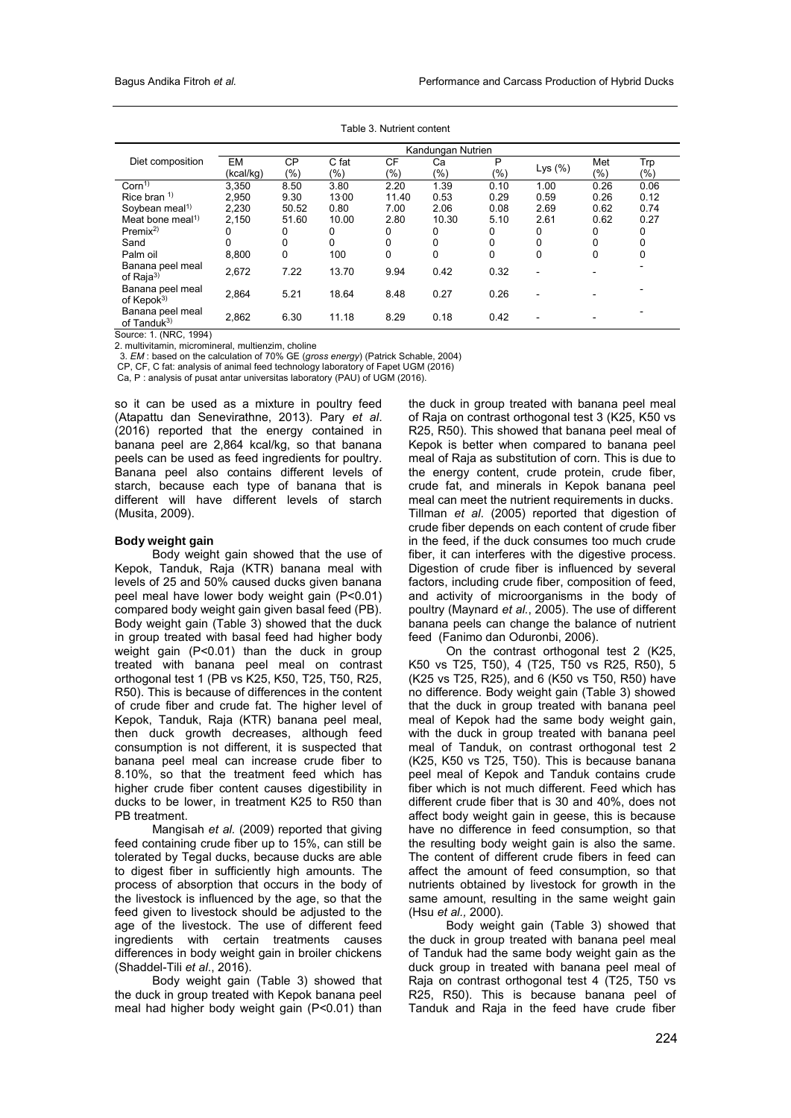|                                             | Kandungan Nutrien |           |       |       |        |      |            |          |      |
|---------------------------------------------|-------------------|-----------|-------|-------|--------|------|------------|----------|------|
| Diet composition                            | <b>EM</b>         | <b>CP</b> | C fat | CF    | Сa     | P    |            | Met      | Trp  |
|                                             | (kcal/kg)         | (%)       | (%)   | (%)   | $(\%)$ | (%)  | Lys $(\%)$ | (9/0)    | (%)  |
| Corn <sup>1</sup>                           | 3,350             | 8.50      | 3.80  | 2.20  | 1.39   | 0.10 | 1.00       | 0.26     | 0.06 |
| Rice bran $1$                               | 2.950             | 9.30      | 13:00 | 11.40 | 0.53   | 0.29 | 0.59       | 0.26     | 0.12 |
| Soybean meal <sup>1)</sup>                  | 2.230             | 50.52     | 0.80  | 7.00  | 2.06   | 0.08 | 2.69       | 0.62     | 0.74 |
| Meat bone meal <sup>1)</sup>                | 2.150             | 51.60     | 10.00 | 2.80  | 10.30  | 5.10 | 2.61       | 0.62     | 0.27 |
| Premix <sup>2</sup>                         | 0                 | 0         | 0     | 0     | 0      | 0    | 0          | 0        | 0    |
| Sand                                        | 0                 | 0         | 0     | 0     | 0      | 0    | 0          | 0        | 0    |
| Palm oil                                    | 8.800             | 0         | 100   | 0     | 0      | 0    | 0          | $\Omega$ | 0    |
| Banana peel meal<br>of Raja <sup>3)</sup>   | 2.672             | 7.22      | 13.70 | 9.94  | 0.42   | 0.32 |            |          |      |
| Banana peel meal<br>of Kepok <sup>3)</sup>  | 2.864             | 5.21      | 18.64 | 8.48  | 0.27   | 0.26 |            |          |      |
| Banana peel meal<br>of Tanduk <sup>3)</sup> | 2,862             | 6.30      | 11.18 | 8.29  | 0.18   | 0.42 |            |          |      |

Table 3. Nutrient content

Source: 1. (NRC, 1994)

2. multivitamin, micromineral, multienzim, choline

3. *EM* : based on the calculation of 70% GE (*gross energy*) (Patrick Schable, 2004)

CP, CF, C fat: analysis of animal feed technology laboratory of Fapet UGM (2016)

Ca, P : analysis of pusat antar universitas laboratory (PAU) of UGM (2016).

so it can be used as a mixture in poultry feed (Atapattu dan Senevirathne, 2013). Pary *et al*. (2016) reported that the energy contained in banana peel are 2,864 kcal/kg, so that banana peels can be used as feed ingredients for poultry. Banana peel also contains different levels of starch, because each type of banana that is different will have different levels of starch (Musita, 2009).

#### **Body weight gain**

Body weight gain showed that the use of Kepok, Tanduk, Raja (KTR) banana meal with levels of 25 and 50% caused ducks given banana peel meal have lower body weight gain (P<0.01) compared body weight gain given basal feed (PB). Body weight gain (Table 3) showed that the duck in group treated with basal feed had higher body weight gain (P<0.01) than the duck in group treated with banana peel meal on contrast orthogonal test 1 (PB vs K25, K50, T25, T50, R25, R50). This is because of differences in the content of crude fiber and crude fat. The higher level of Kepok, Tanduk, Raja (KTR) banana peel meal, then duck growth decreases, although feed consumption is not different, it is suspected that banana peel meal can increase crude fiber to 8.10%, so that the treatment feed which has higher crude fiber content causes digestibility in ducks to be lower, in treatment K25 to R50 than PB treatment.

Mangisah *et al.* (2009) reported that giving feed containing crude fiber up to 15%, can still be tolerated by Tegal ducks, because ducks are able to digest fiber in sufficiently high amounts. The process of absorption that occurs in the body of the livestock is influenced by the age, so that the feed given to livestock should be adjusted to the age of the livestock. The use of different feed ingredients with certain treatments causes differences in body weight gain in broiler chickens (Shaddel-Tili *et al*., 2016).

Body weight gain (Table 3) showed that the duck in group treated with Kepok banana peel meal had higher body weight gain (P<0.01) than the duck in group treated with banana peel meal of Raja on contrast orthogonal test 3 (K25, K50 vs R25, R50). This showed that banana peel meal of Kepok is better when compared to banana peel meal of Raja as substitution of corn. This is due to the energy content, crude protein, crude fiber, crude fat, and minerals in Kepok banana peel meal can meet the nutrient requirements in ducks. Tillman *et al*. (2005) reported that digestion of crude fiber depends on each content of crude fiber in the feed, if the duck consumes too much crude fiber, it can interferes with the digestive process. Digestion of crude fiber is influenced by several factors, including crude fiber, composition of feed, and activity of microorganisms in the body of poultry (Maynard *et al.*, 2005). The use of different banana peels can change the balance of nutrient feed (Fanimo dan Oduronbi, 2006).

On the contrast orthogonal test 2 (K25, K50 vs T25, T50), 4 (T25, T50 vs R25, R50), 5 (K25 vs T25, R25), and 6 (K50 vs T50, R50) have no difference. Body weight gain (Table 3) showed that the duck in group treated with banana peel meal of Kepok had the same body weight gain, with the duck in group treated with banana peel meal of Tanduk, on contrast orthogonal test 2 (K25, K50 vs T25, T50). This is because banana peel meal of Kepok and Tanduk contains crude fiber which is not much different. Feed which has different crude fiber that is 30 and 40%, does not affect body weight gain in geese, this is because have no difference in feed consumption, so that the resulting body weight gain is also the same. The content of different crude fibers in feed can affect the amount of feed consumption, so that nutrients obtained by livestock for growth in the same amount, resulting in the same weight gain (Hsu *et al.,* 2000).

Body weight gain (Table 3) showed that the duck in group treated with banana peel meal of Tanduk had the same body weight gain as the duck group in treated with banana peel meal of Raja on contrast orthogonal test 4 (T25, T50 vs R25, R50). This is because banana peel of Tanduk and Raja in the feed have crude fiber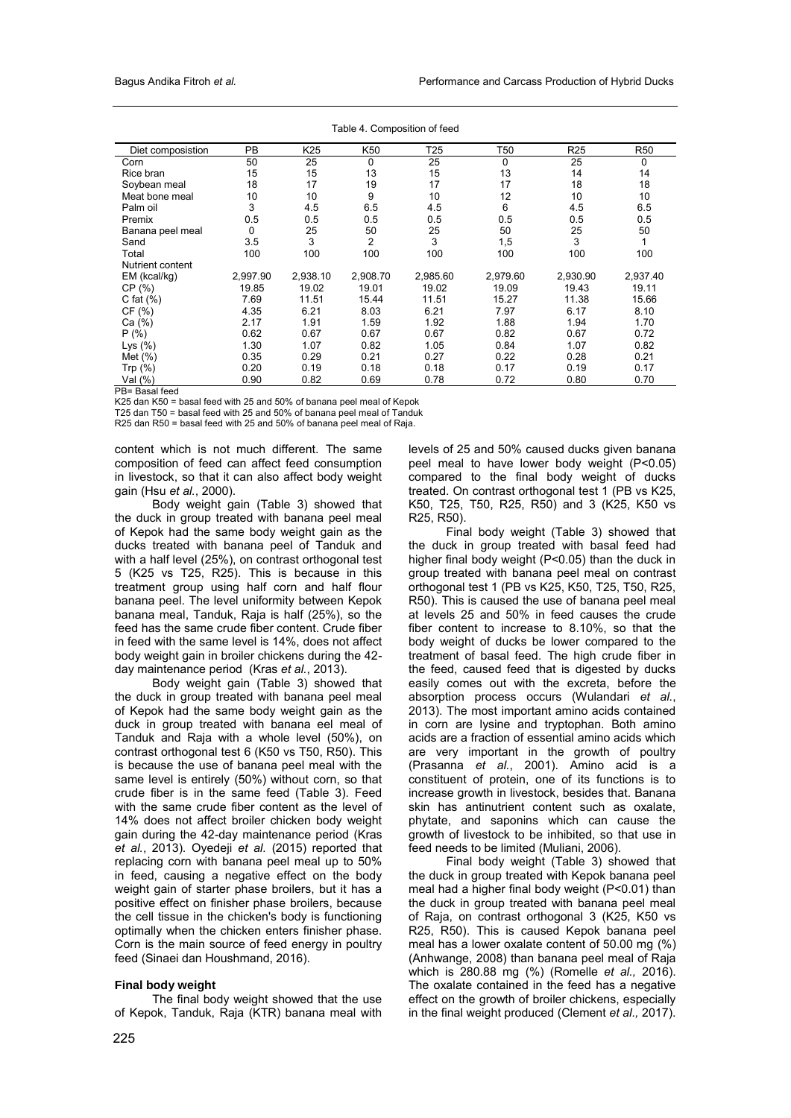| Diet composistion | PB       | K <sub>25</sub> | K50            | T25      | T50      | R <sub>25</sub> | <b>R50</b> |
|-------------------|----------|-----------------|----------------|----------|----------|-----------------|------------|
| Corn              | 50       | 25              | $\Omega$       | 25       | $\Omega$ | 25              | 0          |
| Rice bran         | 15       | 15              | 13             | 15       | 13       | 14              | 14         |
| Soybean meal      | 18       | 17              | 19             | 17       | 17       | 18              | 18         |
| Meat bone meal    | 10       | 10              | 9              | 10       | 12       | 10              | 10         |
| Palm oil          | 3        | 4.5             | 6.5            | 4.5      | 6        | 4.5             | 6.5        |
| Premix            | 0.5      | 0.5             | 0.5            | 0.5      | 0.5      | 0.5             | 0.5        |
| Banana peel meal  | $\Omega$ | 25              | 50             | 25       | 50       | 25              | 50         |
| Sand              | 3.5      | 3               | $\overline{2}$ | 3        | 1,5      | 3               | 1          |
| Total             | 100      | 100             | 100            | 100      | 100      | 100             | 100        |
| Nutrient content  |          |                 |                |          |          |                 |            |
| EM (kcal/kg)      | 2,997.90 | 2,938.10        | 2,908.70       | 2,985.60 | 2,979.60 | 2,930.90        | 2,937.40   |
| CP(%)             | 19.85    | 19.02           | 19.01          | 19.02    | 19.09    | 19.43           | 19.11      |
| C fat $(\%)$      | 7.69     | 11.51           | 15.44          | 11.51    | 15.27    | 11.38           | 15.66      |
| CF(%)             | 4.35     | 6.21            | 8.03           | 6.21     | 7.97     | 6.17            | 8.10       |
| Ca (%)            | 2.17     | 1.91            | 1.59           | 1.92     | 1.88     | 1.94            | 1.70       |
| P(% )             | 0.62     | 0.67            | 0.67           | 0.67     | 0.82     | 0.67            | 0.72       |
| Lys $(\%)$        | 1.30     | 1.07            | 0.82           | 1.05     | 0.84     | 1.07            | 0.82       |
| Met $(\%)$        | 0.35     | 0.29            | 0.21           | 0.27     | 0.22     | 0.28            | 0.21       |
| Trp $(\%)$        | 0.20     | 0.19            | 0.18           | 0.18     | 0.17     | 0.19            | 0.17       |
| Val (%)           | 0.90     | 0.82            | 0.69           | 0.78     | 0.72     | 0.80            | 0.70       |

Table 4. Composition of feed

PB= Basal feed

K25 dan K50 = basal feed with 25 and 50% of banana peel meal of Kepok

T25 dan T50 = basal feed with 25 and 50% of banana peel meal of Tanduk

R25 dan R50 = basal feed with 25 and 50% of banana peel meal of Raja.

content which is not much different. The same composition of feed can affect feed consumption in livestock, so that it can also affect body weight gain (Hsu *et al.*, 2000).

Body weight gain (Table 3) showed that the duck in group treated with banana peel meal of Kepok had the same body weight gain as the ducks treated with banana peel of Tanduk and with a half level (25%), on contrast orthogonal test 5 (K25 vs T25, R25). This is because in this treatment group using half corn and half flour banana peel. The level uniformity between Kepok banana meal, Tanduk, Raja is half (25%), so the feed has the same crude fiber content. Crude fiber in feed with the same level is 14%, does not affect body weight gain in broiler chickens during the 42 day maintenance period (Kras *et al.*, 2013).

Body weight gain (Table 3) showed that the duck in group treated with banana peel meal of Kepok had the same body weight gain as the duck in group treated with banana eel meal of Tanduk and Raja with a whole level (50%), on contrast orthogonal test 6 (K50 vs T50, R50). This is because the use of banana peel meal with the same level is entirely (50%) without corn, so that crude fiber is in the same feed (Table 3). Feed with the same crude fiber content as the level of 14% does not affect broiler chicken body weight gain during the 42-day maintenance period (Kras *et al.*, 2013). Oyedeji *et al.* (2015) reported that replacing corn with banana peel meal up to 50% in feed, causing a negative effect on the body weight gain of starter phase broilers, but it has a positive effect on finisher phase broilers, because the cell tissue in the chicken's body is functioning optimally when the chicken enters finisher phase. Corn is the main source of feed energy in poultry feed (Sinaei dan Houshmand, 2016).

# **Final body weight**

The final body weight showed that the use of Kepok, Tanduk, Raja (KTR) banana meal with levels of 25 and 50% caused ducks given banana peel meal to have lower body weight (P<0.05) compared to the final body weight of ducks treated. On contrast orthogonal test 1 (PB vs K25, K50, T25, T50, R25, R50) and 3 (K25, K50 vs R25, R50).

Final body weight (Table 3) showed that the duck in group treated with basal feed had higher final body weight (P<0.05) than the duck in group treated with banana peel meal on contrast orthogonal test 1 (PB vs K25, K50, T25, T50, R25, R50). This is caused the use of banana peel meal at levels 25 and 50% in feed causes the crude fiber content to increase to 8.10%, so that the body weight of ducks be lower compared to the treatment of basal feed. The high crude fiber in the feed, caused feed that is digested by ducks easily comes out with the excreta, before the absorption process occurs (Wulandari *et al.*, 2013). The most important amino acids contained in corn are lysine and tryptophan. Both amino acids are a fraction of essential amino acids which are very important in the growth of poultry (Prasanna *et al.*, 2001). Amino acid is a constituent of protein, one of its functions is to increase growth in livestock, besides that. Banana skin has antinutrient content such as oxalate, phytate, and saponins which can cause the growth of livestock to be inhibited, so that use in feed needs to be limited (Muliani, 2006).

Final body weight (Table 3) showed that the duck in group treated with Kepok banana peel meal had a higher final body weight (P<0.01) than the duck in group treated with banana peel meal of Raja, on contrast orthogonal 3 (K25, K50 vs R25, R50). This is caused Kepok banana peel meal has a lower oxalate content of 50.00 mg (%) (Anhwange, 2008) than banana peel meal of Raja which is 280.88 mg (%) (Romelle *et al.,* 2016). The oxalate contained in the feed has a negative effect on the growth of broiler chickens, especially in the final weight produced (Clement *et al.,* 2017).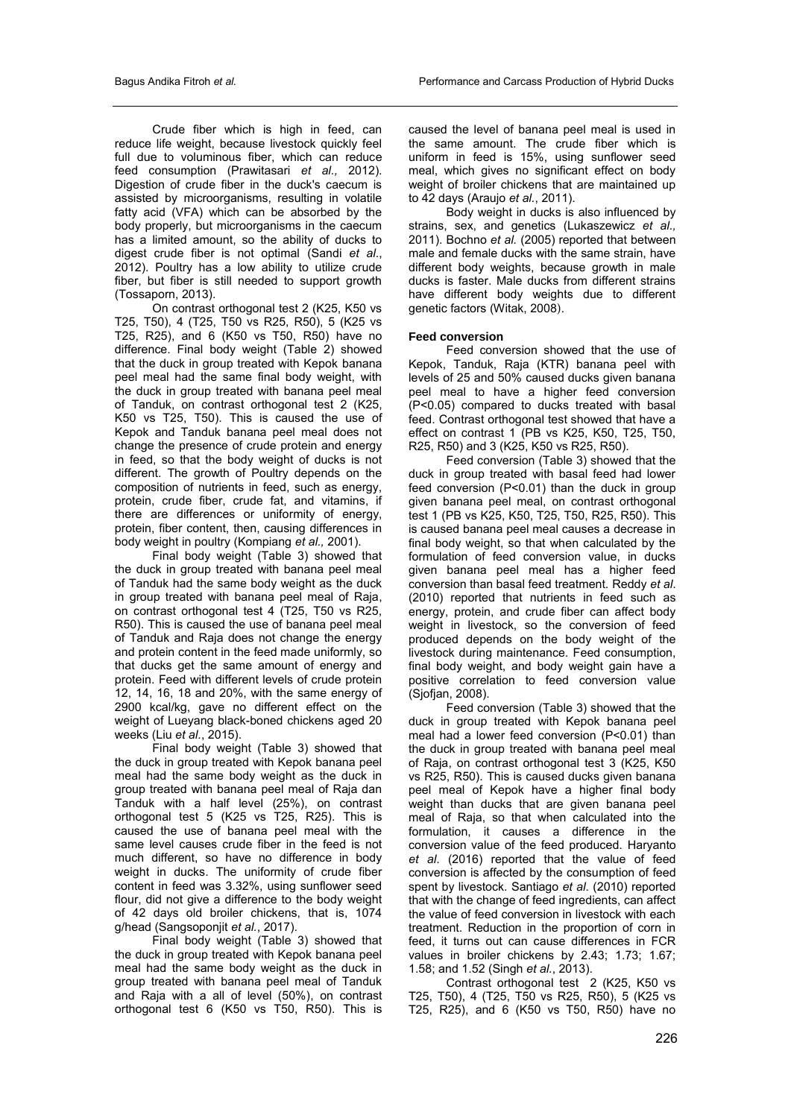Crude fiber which is high in feed, can reduce life weight, because livestock quickly feel full due to voluminous fiber, which can reduce feed consumption (Prawitasari *et al.,* 2012). Digestion of crude fiber in the duck's caecum is assisted by microorganisms, resulting in volatile fatty acid (VFA) which can be absorbed by the body properly, but microorganisms in the caecum has a limited amount, so the ability of ducks to digest crude fiber is not optimal (Sandi *et al*., 2012). Poultry has a low ability to utilize crude fiber, but fiber is still needed to support growth (Tossaporn, 2013).

On contrast orthogonal test 2 (K25, K50 vs T25, T50), 4 (T25, T50 vs R25, R50), 5 (K25 vs T25, R25), and 6 (K50 vs T50, R50) have no difference. Final body weight (Table 2) showed that the duck in group treated with Kepok banana peel meal had the same final body weight, with the duck in group treated with banana peel meal of Tanduk, on contrast orthogonal test 2 (K25, K50 vs T25, T50). This is caused the use of Kepok and Tanduk banana peel meal does not change the presence of crude protein and energy in feed, so that the body weight of ducks is not different. The growth of Poultry depends on the composition of nutrients in feed, such as energy, protein, crude fiber, crude fat, and vitamins, if there are differences or uniformity of energy, protein, fiber content, then, causing differences in body weight in poultry (Kompiang *et al.,* 2001).

Final body weight (Table 3) showed that the duck in group treated with banana peel meal of Tanduk had the same body weight as the duck in group treated with banana peel meal of Raja, on contrast orthogonal test 4 (T25, T50 vs R25, R50). This is caused the use of banana peel meal of Tanduk and Raja does not change the energy and protein content in the feed made uniformly, so that ducks get the same amount of energy and protein. Feed with different levels of crude protein 12, 14, 16, 18 and 20%, with the same energy of 2900 kcal/kg, gave no different effect on the weight of Lueyang black-boned chickens aged 20 weeks (Liu *et al.*, 2015).

Final body weight (Table 3) showed that the duck in group treated with Kepok banana peel meal had the same body weight as the duck in group treated with banana peel meal of Raja dan Tanduk with a half level (25%), on contrast orthogonal test 5 (K25 vs T25, R25). This is caused the use of banana peel meal with the same level causes crude fiber in the feed is not much different, so have no difference in body weight in ducks. The uniformity of crude fiber content in feed was 3.32%, using sunflower seed flour, did not give a difference to the body weight of 42 days old broiler chickens, that is, 1074 g/head (Sangsoponjit *et al.*, 2017).

Final body weight (Table 3) showed that the duck in group treated with Kepok banana peel meal had the same body weight as the duck in group treated with banana peel meal of Tanduk and Raja with a all of level (50%), on contrast orthogonal test 6 (K50 vs T50, R50). This is caused the level of banana peel meal is used in the same amount. The crude fiber which is uniform in feed is 15%, using sunflower seed meal, which gives no significant effect on body weight of broiler chickens that are maintained up to 42 days (Araujo *et al.*, 2011).

Body weight in ducks is also influenced by strains, sex, and genetics (Lukaszewicz *et al.,* 2011). Bochno *et al.* (2005) reported that between male and female ducks with the same strain, have different body weights, because growth in male ducks is faster. Male ducks from different strains have different body weights due to different genetic factors (Witak, 2008).

# **Feed conversion**

Feed conversion showed that the use of Kepok, Tanduk, Raja (KTR) banana peel with levels of 25 and 50% caused ducks given banana peel meal to have a higher feed conversion (P<0.05) compared to ducks treated with basal feed. Contrast orthogonal test showed that have a effect on contrast 1 (PB vs K25, K50, T25, T50, R25, R50) and 3 (K25, K50 vs R25, R50).

Feed conversion (Table 3) showed that the duck in group treated with basal feed had lower feed conversion (P<0.01) than the duck in group given banana peel meal, on contrast orthogonal test 1 (PB vs K25, K50, T25, T50, R25, R50). This is caused banana peel meal causes a decrease in final body weight, so that when calculated by the formulation of feed conversion value, in ducks given banana peel meal has a higher feed conversion than basal feed treatment. Reddy *et al*. (2010) reported that nutrients in feed such as energy, protein, and crude fiber can affect body weight in livestock, so the conversion of feed produced depends on the body weight of the livestock during maintenance. Feed consumption, final body weight, and body weight gain have a positive correlation to feed conversion value (Sjofjan, 2008).

Feed conversion (Table 3) showed that the duck in group treated with Kepok banana peel meal had a lower feed conversion (P<0.01) than the duck in group treated with banana peel meal of Raja, on contrast orthogonal test 3 (K25, K50 vs R25, R50). This is caused ducks given banana peel meal of Kepok have a higher final body weight than ducks that are given banana peel meal of Raja, so that when calculated into the formulation, it causes a difference in the conversion value of the feed produced. Haryanto *et al*. (2016) reported that the value of feed conversion is affected by the consumption of feed spent by livestock. Santiago *et al.* (2010) reported that with the change of feed ingredients, can affect the value of feed conversion in livestock with each treatment. Reduction in the proportion of corn in feed, it turns out can cause differences in FCR values in broiler chickens by 2.43; 1.73; 1.67; 1.58; and 1.52 (Singh *et al.*, 2013).

Contrast orthogonal test 2 (K25, K50 vs T25, T50), 4 (T25, T50 vs R25, R50), 5 (K25 vs T25, R25), and 6 (K50 vs T50, R50) have no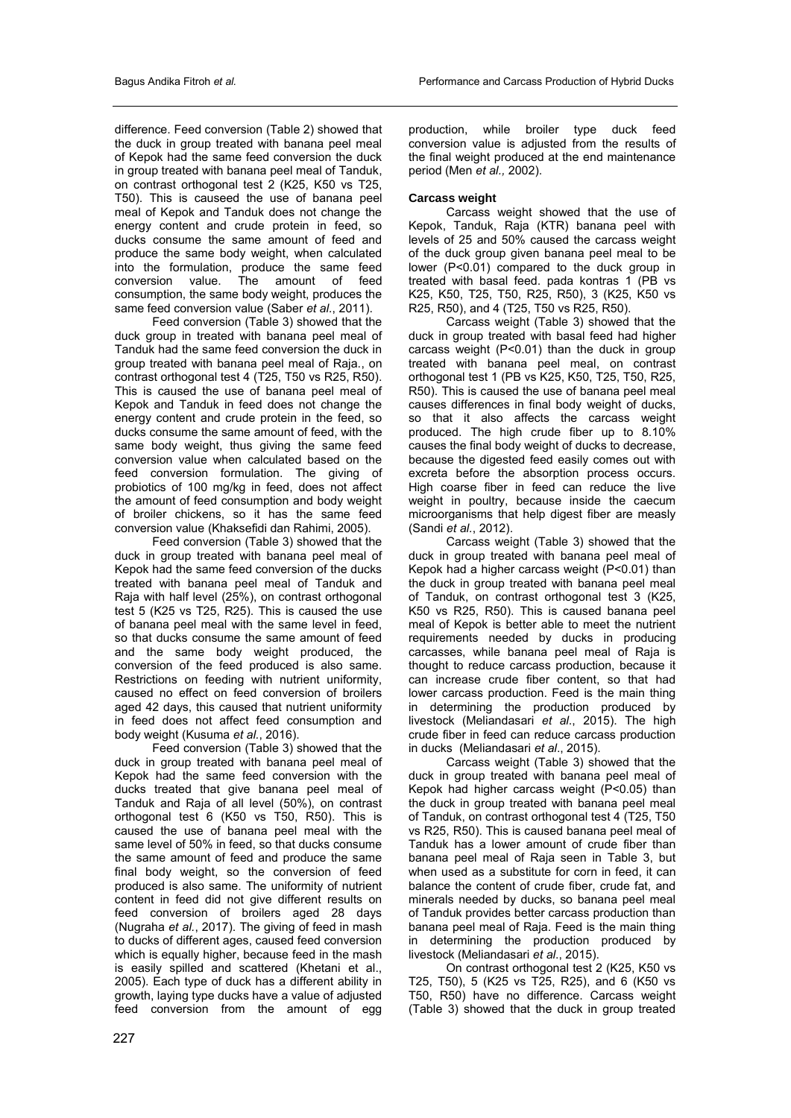difference. Feed conversion (Table 2) showed that the duck in group treated with banana peel meal of Kepok had the same feed conversion the duck in group treated with banana peel meal of Tanduk, on contrast orthogonal test 2 (K25, K50 vs T25, T50). This is causeed the use of banana peel meal of Kepok and Tanduk does not change the energy content and crude protein in feed, so ducks consume the same amount of feed and produce the same body weight, when calculated into the formulation, produce the same feed<br>conversion value. The amount of feed The amount of feed consumption, the same body weight, produces the same feed conversion value (Saber *et al.*, 2011).

Feed conversion (Table 3) showed that the duck group in treated with banana peel meal of Tanduk had the same feed conversion the duck in group treated with banana peel meal of Raja., on contrast orthogonal test 4 (T25, T50 vs R25, R50). This is caused the use of banana peel meal of Kepok and Tanduk in feed does not change the energy content and crude protein in the feed, so ducks consume the same amount of feed, with the same body weight, thus giving the same feed conversion value when calculated based on the feed conversion formulation. The giving of probiotics of 100 mg/kg in feed, does not affect the amount of feed consumption and body weight of broiler chickens, so it has the same feed conversion value (Khaksefidi dan Rahimi, 2005).

Feed conversion (Table 3) showed that the duck in group treated with banana peel meal of Kepok had the same feed conversion of the ducks treated with banana peel meal of Tanduk and Raja with half level (25%), on contrast orthogonal test 5 (K25 vs T25, R25). This is caused the use of banana peel meal with the same level in feed, so that ducks consume the same amount of feed and the same body weight produced, the conversion of the feed produced is also same. Restrictions on feeding with nutrient uniformity, caused no effect on feed conversion of broilers aged 42 days, this caused that nutrient uniformity in feed does not affect feed consumption and body weight (Kusuma *et al.*, 2016).

Feed conversion (Table 3) showed that the duck in group treated with banana peel meal of Kepok had the same feed conversion with the ducks treated that give banana peel meal of Tanduk and Raja of all level (50%), on contrast orthogonal test 6 (K50 vs T50, R50). This is caused the use of banana peel meal with the same level of 50% in feed, so that ducks consume the same amount of feed and produce the same final body weight, so the conversion of feed produced is also same. The uniformity of nutrient content in feed did not give different results on feed conversion of broilers aged 28 days (Nugraha *et al.*, 2017). The giving of feed in mash to ducks of different ages, caused feed conversion which is equally higher, because feed in the mash is easily spilled and scattered (Khetani et al., 2005). Each type of duck has a different ability in growth, laying type ducks have a value of adjusted feed conversion from the amount of egg

production, while broiler type duck feed conversion value is adjusted from the results of the final weight produced at the end maintenance period (Men *et al.,* 2002).

# **Carcass weight**

Carcass weight showed that the use of Kepok, Tanduk, Raja (KTR) banana peel with levels of 25 and 50% caused the carcass weight of the duck group given banana peel meal to be lower (P<0.01) compared to the duck group in treated with basal feed. pada kontras 1 (PB vs K25, K50, T25, T50, R25, R50), 3 (K25, K50 vs R25, R50), and 4 (T25, T50 vs R25, R50).

Carcass weight (Table 3) showed that the duck in group treated with basal feed had higher carcass weight (P<0.01) than the duck in group treated with banana peel meal, on contrast orthogonal test 1 (PB vs K25, K50, T25, T50, R25, R50). This is caused the use of banana peel meal causes differences in final body weight of ducks, so that it also affects the carcass weight produced. The high crude fiber up to 8.10% causes the final body weight of ducks to decrease, because the digested feed easily comes out with excreta before the absorption process occurs. High coarse fiber in feed can reduce the live weight in poultry, because inside the caecum microorganisms that help digest fiber are measly (Sandi *et al.*, 2012).

Carcass weight (Table 3) showed that the duck in group treated with banana peel meal of Kepok had a higher carcass weight (P<0.01) than the duck in group treated with banana peel meal of Tanduk, on contrast orthogonal test 3 (K25, K50 vs R25, R50). This is caused banana peel meal of Kepok is better able to meet the nutrient requirements needed by ducks in producing carcasses, while banana peel meal of Raja is thought to reduce carcass production, because it can increase crude fiber content, so that had lower carcass production. Feed is the main thing in determining the production produced by livestock (Meliandasari *et al*., 2015). The high crude fiber in feed can reduce carcass production in ducks (Meliandasari *et al*., 2015).

Carcass weight (Table 3) showed that the duck in group treated with banana peel meal of Kepok had higher carcass weight (P<0.05) than the duck in group treated with banana peel meal of Tanduk, on contrast orthogonal test 4 (T25, T50 vs R25, R50). This is caused banana peel meal of Tanduk has a lower amount of crude fiber than banana peel meal of Raja seen in Table 3, but when used as a substitute for corn in feed, it can balance the content of crude fiber, crude fat, and minerals needed by ducks, so banana peel meal of Tanduk provides better carcass production than banana peel meal of Raja. Feed is the main thing in determining the production produced by livestock (Meliandasari *et al*., 2015).

On contrast orthogonal test 2 (K25, K50 vs T25, T50), 5 (K25 vs T25, R25), and 6 (K50 vs T50, R50) have no difference. Carcass weight (Table 3) showed that the duck in group treated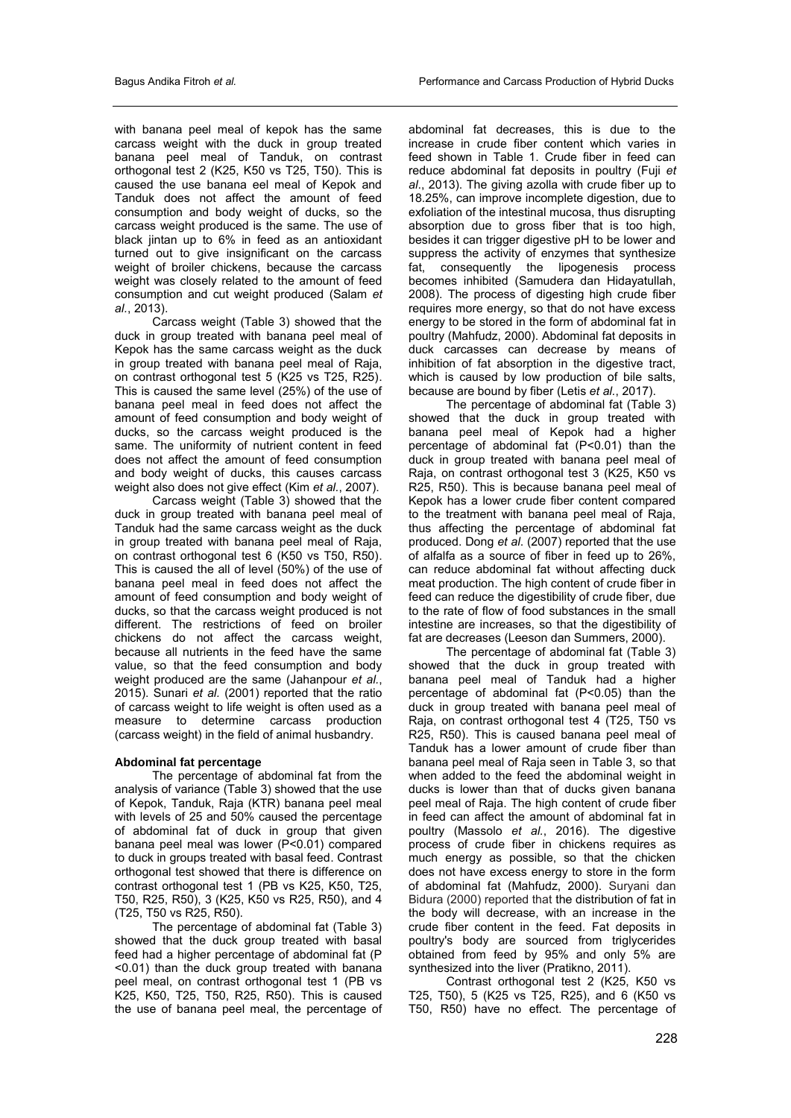with banana peel meal of kepok has the same carcass weight with the duck in group treated banana peel meal of Tanduk, on contrast orthogonal test 2 (K25, K50 vs T25, T50). This is caused the use banana eel meal of Kepok and Tanduk does not affect the amount of feed consumption and body weight of ducks, so the carcass weight produced is the same. The use of black jintan up to 6% in feed as an antioxidant turned out to give insignificant on the carcass weight of broiler chickens, because the carcass weight was closely related to the amount of feed consumption and cut weight produced (Salam *et al.*, 2013).

Carcass weight (Table 3) showed that the duck in group treated with banana peel meal of Kepok has the same carcass weight as the duck in group treated with banana peel meal of Raja, on contrast orthogonal test 5 (K25 vs T25, R25). This is caused the same level (25%) of the use of banana peel meal in feed does not affect the amount of feed consumption and body weight of ducks, so the carcass weight produced is the same. The uniformity of nutrient content in feed does not affect the amount of feed consumption and body weight of ducks, this causes carcass weight also does not give effect (Kim *et al.*, 2007).

Carcass weight (Table 3) showed that the duck in group treated with banana peel meal of Tanduk had the same carcass weight as the duck in group treated with banana peel meal of Raja, on contrast orthogonal test 6 (K50 vs T50, R50). This is caused the all of level (50%) of the use of banana peel meal in feed does not affect the amount of feed consumption and body weight of ducks, so that the carcass weight produced is not different. The restrictions of feed on broiler chickens do not affect the carcass weight, because all nutrients in the feed have the same value, so that the feed consumption and body weight produced are the same (Jahanpour *et al.*, 2015). Sunari *et al.* (2001) reported that the ratio of carcass weight to life weight is often used as a measure to determine carcass production (carcass weight) in the field of animal husbandry.

# **Abdominal fat percentage**

The percentage of abdominal fat from the analysis of variance (Table 3) showed that the use of Kepok, Tanduk, Raja (KTR) banana peel meal with levels of 25 and 50% caused the percentage of abdominal fat of duck in group that given banana peel meal was lower (P<0.01) compared to duck in groups treated with basal feed. Contrast orthogonal test showed that there is difference on contrast orthogonal test 1 (PB vs K25, K50, T25, T50, R25, R50), 3 (K25, K50 vs R25, R50), and 4 (T25, T50 vs R25, R50).

The percentage of abdominal fat (Table 3) showed that the duck group treated with basal feed had a higher percentage of abdominal fat (P <0.01) than the duck group treated with banana peel meal, on contrast orthogonal test 1 (PB vs K25, K50, T25, T50, R25, R50). This is caused the use of banana peel meal, the percentage of

abdominal fat decreases, this is due to the increase in crude fiber content which varies in feed shown in Table 1. Crude fiber in feed can reduce abdominal fat deposits in poultry (Fuji *et al*., 2013). The giving azolla with crude fiber up to 18.25%, can improve incomplete digestion, due to exfoliation of the intestinal mucosa, thus disrupting absorption due to gross fiber that is too high, besides it can trigger digestive pH to be lower and suppress the activity of enzymes that synthesize fat, consequently the lipogenesis process becomes inhibited (Samudera dan Hidayatullah, 2008). The process of digesting high crude fiber requires more energy, so that do not have excess energy to be stored in the form of abdominal fat in poultry (Mahfudz, 2000). Abdominal fat deposits in duck carcasses can decrease by means of inhibition of fat absorption in the digestive tract, which is caused by low production of bile salts. because are bound by fiber (Letis *et al.*, 2017).

The percentage of abdominal fat (Table 3) showed that the duck in group treated with banana peel meal of Kepok had a higher percentage of abdominal fat (P<0.01) than the duck in group treated with banana peel meal of Raja, on contrast orthogonal test 3 (K25, K50 vs R25, R50). This is because banana peel meal of Kepok has a lower crude fiber content compared to the treatment with banana peel meal of Raja, thus affecting the percentage of abdominal fat produced. Dong *et al*. (2007) reported that the use of alfalfa as a source of fiber in feed up to 26%, can reduce abdominal fat without affecting duck meat production. The high content of crude fiber in feed can reduce the digestibility of crude fiber, due to the rate of flow of food substances in the small intestine are increases, so that the digestibility of fat are decreases (Leeson dan Summers, 2000).

The percentage of abdominal fat (Table 3) showed that the duck in group treated with banana peel meal of Tanduk had a higher percentage of abdominal fat (P<0.05) than the duck in group treated with banana peel meal of Raja, on contrast orthogonal test 4 (T25, T50 vs R25, R50). This is caused banana peel meal of Tanduk has a lower amount of crude fiber than banana peel meal of Raja seen in Table 3, so that when added to the feed the abdominal weight in ducks is lower than that of ducks given banana peel meal of Raja. The high content of crude fiber in feed can affect the amount of abdominal fat in poultry (Massolo *et al.*, 2016). The digestive process of crude fiber in chickens requires as much energy as possible, so that the chicken does not have excess energy to store in the form of abdominal fat (Mahfudz, 2000). Suryani dan Bidura (2000) reported that the distribution of fat in the body will decrease, with an increase in the crude fiber content in the feed. Fat deposits in poultry's body are sourced from triglycerides obtained from feed by 95% and only 5% are synthesized into the liver (Pratikno, 2011).

Contrast orthogonal test 2 (K25, K50 vs T25, T50), 5 (K25 vs T25, R25), and 6 (K50 vs T50, R50) have no effect. The percentage of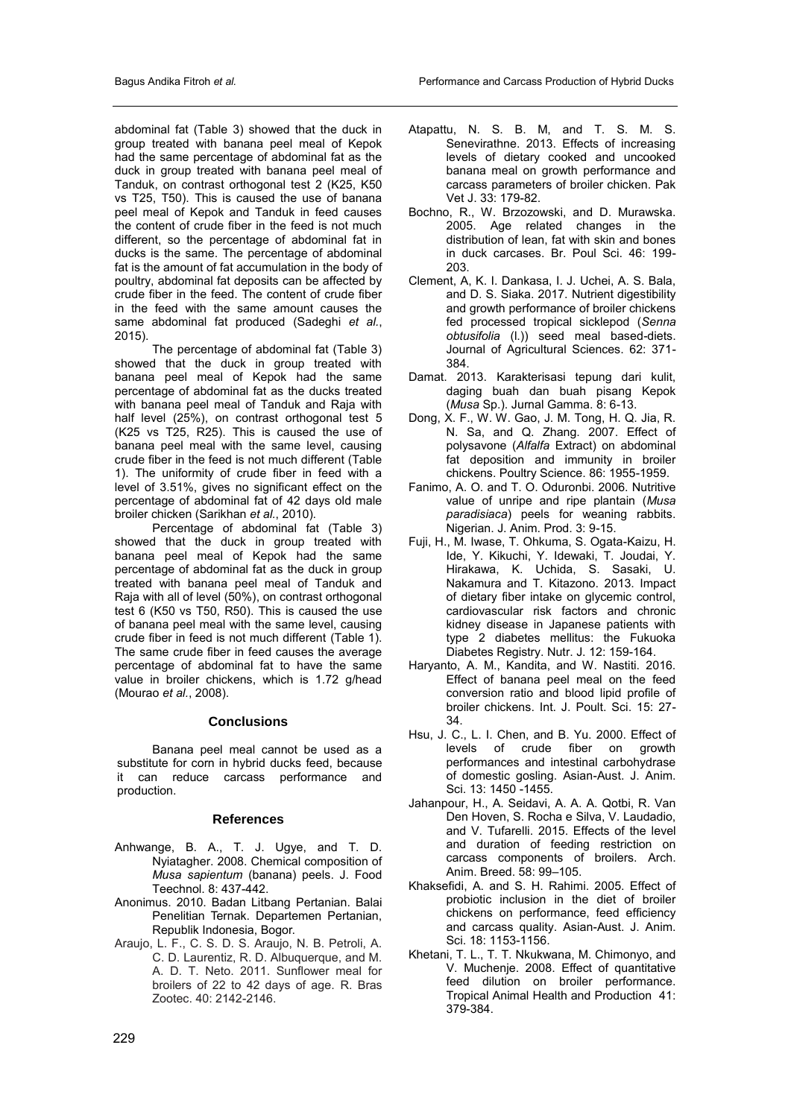abdominal fat (Table 3) showed that the duck in group treated with banana peel meal of Kepok had the same percentage of abdominal fat as the duck in group treated with banana peel meal of Tanduk, on contrast orthogonal test 2 (K25, K50 vs T25, T50). This is caused the use of banana peel meal of Kepok and Tanduk in feed causes the content of crude fiber in the feed is not much different, so the percentage of abdominal fat in ducks is the same. The percentage of abdominal fat is the amount of fat accumulation in the body of poultry, abdominal fat deposits can be affected by crude fiber in the feed. The content of crude fiber in the feed with the same amount causes the same abdominal fat produced (Sadeghi *et al.*, 2015).

The percentage of abdominal fat (Table 3) showed that the duck in group treated with banana peel meal of Kepok had the same percentage of abdominal fat as the ducks treated with banana peel meal of Tanduk and Raja with half level (25%), on contrast orthogonal test 5 (K25 vs T25, R25). This is caused the use of banana peel meal with the same level, causing crude fiber in the feed is not much different (Table 1). The uniformity of crude fiber in feed with a level of 3.51%, gives no significant effect on the percentage of abdominal fat of 42 days old male broiler chicken (Sarikhan *et al.*, 2010).

Percentage of abdominal fat (Table 3) showed that the duck in group treated with banana peel meal of Kepok had the same percentage of abdominal fat as the duck in group treated with banana peel meal of Tanduk and Raja with all of level (50%), on contrast orthogonal test 6 (K50 vs T50, R50). This is caused the use of banana peel meal with the same level, causing crude fiber in feed is not much different (Table 1). The same crude fiber in feed causes the average percentage of abdominal fat to have the same value in broiler chickens, which is 1.72 g/head (Mourao *et al.*, 2008).

# **Conclusions**

Banana peel meal cannot be used as a substitute for corn in hybrid ducks feed, because it can reduce carcass performance and production.

### **References**

- Anhwange, B. A., T. J. Ugye, and T. D. Nyiatagher. 2008. Chemical composition of *Musa sapientum* (banana) peels. J. Food Teechnol. 8: 437-442.
- Anonimus. 2010. Badan Litbang Pertanian. Balai Penelitian Ternak. Departemen Pertanian, Republik Indonesia, Bogor.
- Araujo, L. F., C. S. D. S. Araujo, N. B. Petroli, A. C. D. Laurentiz, R. D. Albuquerque, and M. A. D. T. Neto. 2011. Sunflower meal for broilers of 22 to 42 days of age. R. Bras Zootec. 40: 2142-2146.
- Atapattu, N. S. B. M, and T. S. M. S. Senevirathne. 2013. Effects of increasing levels of dietary cooked and uncooked banana meal on growth performance and carcass parameters of broiler chicken. Pak Vet J. 33: 179-82.
- Bochno, R., W. Brzozowski, and D. Murawska. 2005. Age related changes in the distribution of lean, fat with skin and bones in duck carcases. Br. Poul Sci. 46: 199- 203.
- Clement, A, K. I. Dankasa, I. J. Uchei, A. S. Bala, and D. S. Siaka. 2017. Nutrient digestibility and growth performance of broiler chickens fed processed tropical sicklepod (*Senna obtusifolia* (l.)) seed meal based-diets. Journal of Agricultural Sciences. 62: 371- 384.
- Damat. 2013. Karakterisasi tepung dari kulit, daging buah dan buah pisang Kepok (*Musa* Sp.). Jurnal Gamma. 8: 6-13.
- Dong, X. F., W. W. Gao, J. M. Tong, H. Q. Jia, R. N. Sa, and Q. Zhang. 2007. Effect of polysavone (*Alfalfa* Extract) on abdominal fat deposition and immunity in broiler chickens. Poultry Science. 86: 1955-1959.
- Fanimo, A. O. and T. O. Oduronbi. 2006. Nutritive value of unripe and ripe plantain (*Musa paradisiaca*) peels for weaning rabbits. Nigerian. J. Anim. Prod. 3: 9-15.
- Fuji, H., M. Iwase, T. Ohkuma, S. Ogata-Kaizu, H. Ide, Y. Kikuchi, Y. Idewaki, T. Joudai, Y. Hirakawa, K. Uchida, S. Sasaki, U. Nakamura and T. Kitazono. 2013. Impact of dietary fiber intake on glycemic control, cardiovascular risk factors and chronic kidney disease in Japanese patients with type 2 diabetes mellitus: the Fukuoka Diabetes Registry. Nutr. J. 12: 159-164.
- Haryanto, A. M., Kandita, and W. Nastiti. 2016. Effect of banana peel meal on the feed conversion ratio and blood lipid profile of broiler chickens. Int. J. Poult. Sci. 15: 27- 34.
- Hsu, J. C., L. I. Chen, and B. Yu. 2000. Effect of levels of crude fiber on growth performances and intestinal carbohydrase of domestic gosling. Asian-Aust. J. Anim. Sci. 13: 1450 -1455.
- Jahanpour, H., A. Seidavi, A. A. A. Qotbi, R. Van Den Hoven, S. Rocha e Silva, V. Laudadio, and V. Tufarelli. 2015. Effects of the level and duration of feeding restriction on carcass components of broilers. Arch. Anim. Breed. 58: 99–105.
- Khaksefidi, A. and S. H. Rahimi. 2005. Effect of probiotic inclusion in the diet of broiler chickens on performance, feed efficiency and carcass quality. Asian-Aust. J. Anim. Sci. 18: 1153-1156.
- Khetani, T. L., T. T. Nkukwana, M. Chimonyo, and V. Muchenje. 2008. Effect of quantitative feed dilution on broiler performance. Tropical Animal Health and Production 41: 379-384.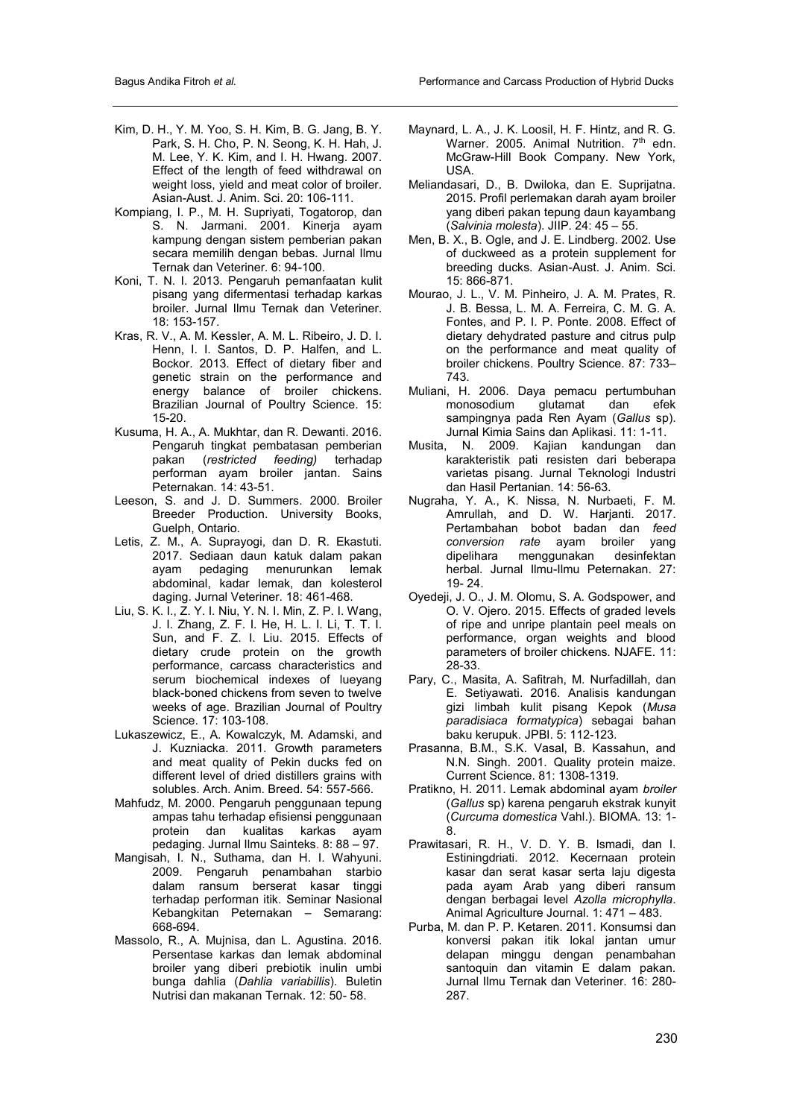- Kim, D. H., Y. M. Yoo, S. H. Kim, B. G. Jang, B. Y. Park, S. H. Cho, P. N. Seong, K. H. Hah, J. M. Lee, Y. K. Kim, and I. H. Hwang. 2007. Effect of the length of feed withdrawal on weight loss, yield and meat color of broiler. Asian-Aust. J. Anim. Sci. 20: 106-111.
- Kompiang, I. P., M. H. Supriyati, Togatorop, dan S. N. Jarmani. 2001. Kinerja ayam kampung dengan sistem pemberian pakan secara memilih dengan bebas. Jurnal Ilmu Ternak dan Veteriner. 6: 94-100.
- Koni, T. N. I. 2013. Pengaruh pemanfaatan kulit pisang yang difermentasi terhadap karkas broiler. Jurnal Ilmu Ternak dan Veteriner. 18: 153-157.
- Kras, R. V., A. M. Kessler, A. M. L. Ribeiro, J. D. I. Henn, I. I. Santos, D. P. Halfen, and L. Bockor. 2013. Effect of dietary fiber and genetic strain on the performance and energy balance of broiler chickens. Brazilian Journal of Poultry Science. 15: 15-20.
- Kusuma, H. A., A. Mukhtar, dan R. Dewanti. 2016. Pengaruh tingkat pembatasan pemberian pakan (*restricted feeding)* terhadap performan ayam broiler jantan. Sains Peternakan. 14: 43-51.
- Leeson, S. and J. D. Summers. 2000. Broiler Breeder Production. University Books, Guelph, Ontario.
- Letis, Z. M., A. Suprayogi, dan D. R. Ekastuti. 2017. Sediaan daun katuk dalam pakan ayam pedaging menurunkan lemak abdominal, kadar lemak, dan kolesterol daging. Jurnal Veteriner. 18: 461-468.
- Liu, S. K. I., Z. Y. I. Niu, Y. N. I. Min, Z. P. I. Wang, J. I. Zhang, Z. F. I. He, H. L. I. Li, T. T. I. Sun, and F. Z. I. Liu. 2015. Effects of dietary crude protein on the growth performance, carcass characteristics and serum biochemical indexes of lueyang black-boned chickens from seven to twelve weeks of age. Brazilian Journal of Poultry Science. 17: 103-108.
- Lukaszewicz, E., A. Kowalczyk, M. Adamski, and J. Kuzniacka. 2011. Growth parameters and meat quality of Pekin ducks fed on different level of dried distillers grains with solubles. Arch. Anim. Breed. 54: 557-566.
- Mahfudz, M. 2000. Pengaruh penggunaan tepung ampas tahu terhadap efisiensi penggunaan protein dan kualitas karkas ayam pedaging. Jurnal Ilmu Sainteks. 8: 88 – 97.
- Mangisah, I. N., Suthama, dan H. I. Wahyuni. 2009. Pengaruh penambahan starbio dalam ransum berserat kasar tinggi terhadap performan itik. Seminar Nasional Kebangkitan Peternakan – Semarang: 668-694.
- Massolo, R., A. Mujnisa, dan L. Agustina. 2016. Persentase karkas dan lemak abdominal broiler yang diberi prebiotik inulin umbi bunga dahlia (*Dahlia variabillis*). Buletin Nutrisi dan makanan Ternak. 12: 50- 58.
- Maynard, L. A., J. K. Loosil, H. F. Hintz, and R. G. Warner. 2005. Animal Nutrition. 7<sup>th</sup> edn. McGraw-Hill Book Company. New York, USA.
- Meliandasari, D., B. Dwiloka, dan E. Suprijatna. 2015. Profil perlemakan darah ayam broiler yang diberi pakan tepung daun kayambang (*Salvinia molesta*). JIIP. 24: 45 – 55.
- Men, B. X., B. Ogle, and J. E. Lindberg. 2002. Use of duckweed as a protein supplement for breeding ducks. Asian-Aust. J. Anim. Sci. 15: 866-871.
- Mourao, J. L., V. M. Pinheiro, J. A. M. Prates, R. J. B. Bessa, L. M. A. Ferreira, C. M. G. A. Fontes, and P. I. P. Ponte. 2008. Effect of dietary dehydrated pasture and citrus pulp on the performance and meat quality of broiler chickens. Poultry Science. 87: 733– 743.
- Muliani, H. 2006. Daya pemacu pertumbuhan monosodium glutamat dan efek sampingnya pada Ren Ayam (*Gallus* sp). Jurnal Kimia Sains dan Aplikasi. 11: 1-11.
- Musita, N. 2009. Kajian kandungan dan karakteristik pati resisten dari beberapa varietas pisang. Jurnal Teknologi Industri dan Hasil Pertanian. 14: 56-63.
- Nugraha, Y. A., K. Nissa, N. Nurbaeti, F. M. Amrullah, and D. W. Harjanti. 2017. Pertambahan bobot badan dan *feed conversion rate* ayam broiler yang dipelihara menggunakan herbal. Jurnal Ilmu-Ilmu Peternakan. 27: 19- 24.
- Oyedeji, J. O., J. M. Olomu, S. A. Godspower, and O. V. Ojero. 2015. Effects of graded levels of ripe and unripe plantain peel meals on performance, organ weights and blood parameters of broiler chickens. NJAFE. 11: 28-33.
- Pary, C., Masita, A. Safitrah, M. Nurfadillah, dan E. Setiyawati. 2016. Analisis kandungan gizi limbah kulit pisang Kepok (*Musa paradisiaca formatypica*) sebagai bahan baku kerupuk. JPBI. 5: 112-123.
- Prasanna, B.M., S.K. Vasal, B. Kassahun, and N.N. Singh. 2001. Quality protein maize. Current Science. 81: 1308-1319.
- Pratikno, H. 2011. Lemak abdominal ayam *broiler*  (*Gallus* sp) karena pengaruh ekstrak kunyit (*Curcuma domestica* Vahl.). BIOMA. 13: 1- 8.
- Prawitasari, R. H., V. D. Y. B. Ismadi, dan I. Estiningdriati. 2012. Kecernaan protein kasar dan serat kasar serta laju digesta pada ayam Arab yang diberi ransum dengan berbagai level *Azolla microphylla*. Animal Agriculture Journal. 1: 471 – 483.
- Purba, M. dan P. P. Ketaren. 2011. Konsumsi dan konversi pakan itik lokal jantan umur delapan minggu dengan penambahan santoquin dan vitamin E dalam pakan. Jurnal Ilmu Ternak dan Veteriner. 16: 280- 287.